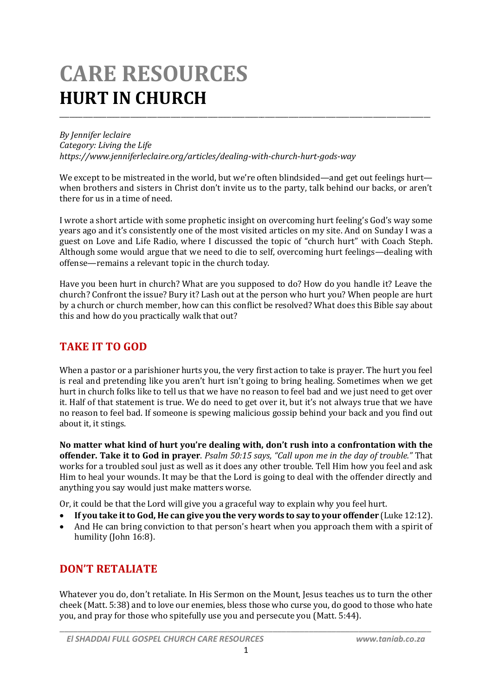# **CARE RESOURCES HURT IN CHURCH** \_\_\_\_\_\_\_\_\_\_\_\_\_\_\_\_\_\_\_\_\_\_\_\_\_\_\_\_\_\_\_\_\_\_\_\_\_\_\_\_\_\_\_\_\_\_\_\_\_\_\_\_\_\_\_\_\_\_\_\_\_\_\_\_\_\_\_\_\_\_\_\_\_\_\_\_\_\_\_\_\_\_\_\_\_\_\_\_\_\_\_\_\_\_\_\_\_\_\_\_\_\_\_\_\_\_\_\_\_\_

*By Jennifer leclaire Category: Living the Life https://www.jenniferleclaire.org/articles/dealing-with-church-hurt-gods-way*

We except to be mistreated in the world, but we're often blindsided—and get out feelings hurt when brothers and sisters in Christ don't invite us to the party, talk behind our backs, or aren't there for us in a time of need.

I wrote a short article with some prophetic insight on overcoming hurt feeling's God's way some years ago and it's consistently one of the most visited articles on my site. And on Sunday I was a guest on Love and Life Radio, where I discussed the topic of "church hurt" with Coach Steph. Although some would argue that we need to die to self, overcoming hurt feelings—dealing with offense—remains a relevant topic in the church today.

Have you been hurt in church? What are you supposed to do? How do you handle it? Leave the church? Confront the issue? Bury it? Lash out at the person who hurt you? When people are hurt by a church or church member, how can this conflict be resolved? What does this Bible say about this and how do you practically walk that out?

### **TAKE IT TO GOD**

When a pastor or a parishioner hurts you, the very first action to take is prayer. The hurt you feel is real and pretending like you aren't hurt isn't going to bring healing. Sometimes when we get hurt in church folks like to tell us that we have no reason to feel bad and we just need to get over it. Half of that statement is true. We do need to get over it, but it's not always true that we have no reason to feel bad. If someone is spewing malicious gossip behind your back and you find out about it, it stings.

**No matter what kind of hurt you're dealing with, don't rush into a confrontation with the offender. Take it to God in prayer**. *Psalm 50:15 says, "Call upon me in the day of trouble."* That works for a troubled soul just as well as it does any other trouble. Tell Him how you feel and ask Him to heal your wounds. It may be that the Lord is going to deal with the offender directly and anything you say would just make matters worse.

Or, it could be that the Lord will give you a graceful way to explain why you feel hurt.

- **If you take it to God, He can give you the very words to say to your offender** (Luke 12:12).
- And He can bring conviction to that person's heart when you approach them with a spirit of humility (John 16:8).

### **DON'T RETALIATE**

Whatever you do, don't retaliate. In His Sermon on the Mount, Jesus teaches us to turn the other cheek (Matt. 5:38) and to love our enemies, bless those who curse you, do good to those who hate you, and pray for those who spitefully use you and persecute you (Matt. 5:44).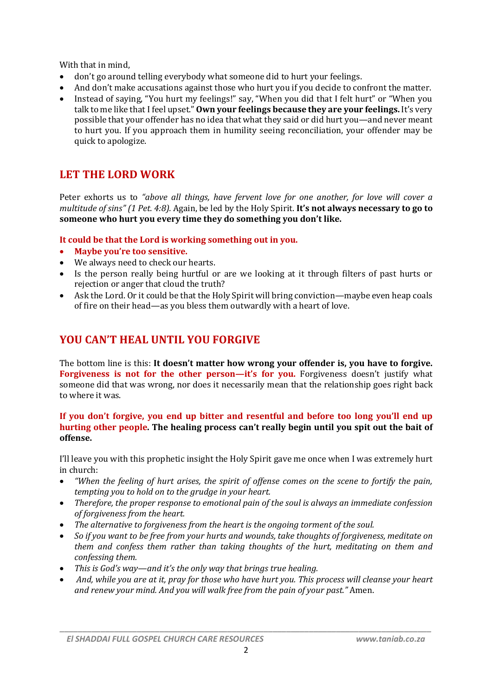With that in mind,

- don't go around telling everybody what someone did to hurt your feelings.
- And don't make accusations against those who hurt you if you decide to confront the matter.
- Instead of saying, "You hurt my feelings!" say, "When you did that I felt hurt" or "When you talk to me like that I feel upset." **Own your feelings because they are your feelings.** It's very possible that your offender has no idea that what they said or did hurt you—and never meant to hurt you. If you approach them in humility seeing reconciliation, your offender may be quick to apologize.

### **LET THE LORD WORK**

Peter exhorts us to *"above all things, have fervent love for one another, for love will cover a multitude of sins" (1 Pet. 4:8).* Again, be led by the Holy Spirit. **It's not always necessary to go to someone who hurt you every time they do something you don't like.**

**It could be that the Lord is working something out in you.** 

- **Maybe you're too sensitive.**
- We always need to check our hearts.
- Is the person really being hurtful or are we looking at it through filters of past hurts or rejection or anger that cloud the truth?
- Ask the Lord. Or it could be that the Holy Spirit will bring conviction—maybe even heap coals of fire on their head—as you bless them outwardly with a heart of love.

### **YOU CAN'T HEAL UNTIL YOU FORGIVE**

The bottom line is this: **It doesn't matter how wrong your offender is, you have to forgive. Forgiveness is not for the other person—it's for you.** Forgiveness doesn't justify what someone did that was wrong, nor does it necessarily mean that the relationship goes right back to where it was.

#### **If you don't forgive, you end up bitter and resentful and before too long you'll end up hurting other people. The healing process can't really begin until you spit out the bait of offense.**

I'll leave you with this prophetic insight the Holy Spirit gave me once when I was extremely hurt in church:

- *"When the feeling of hurt arises, the spirit of offense comes on the scene to fortify the pain, tempting you to hold on to the grudge in your heart.*
- *Therefore, the proper response to emotional pain of the soul is always an immediate confession of forgiveness from the heart.*
- *The alternative to forgiveness from the heart is the ongoing torment of the soul.*
- *So if you want to be free from your hurts and wounds, take thoughts of forgiveness, meditate on them and confess them rather than taking thoughts of the hurt, meditating on them and confessing them.*
- *This is God's way—and it's the only way that brings true healing.*
- *And, while you are at it, pray for those who have hurt you. This process will cleanse your heart and renew your mind. And you will walk free from the pain of your past."* Amen.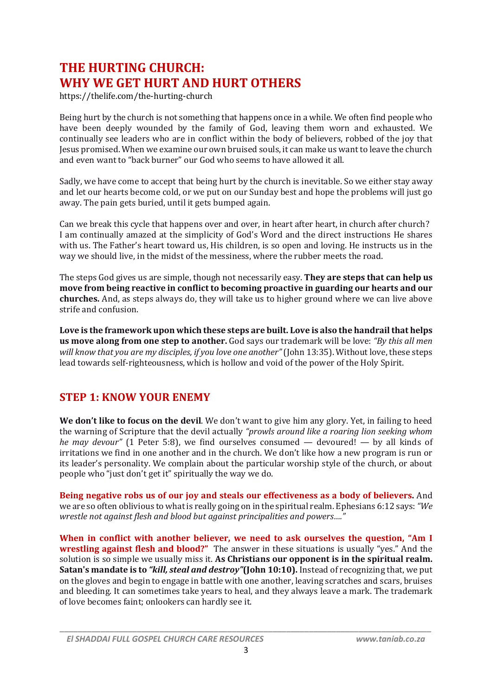## **THE HURTING CHURCH: WHY WE GET HURT AND HURT OTHERS**

https://thelife.com/the-hurting-church

Being hurt by the church is not something that happens once in a while. We often find people who have been deeply wounded by the family of God, leaving them worn and exhausted. We continually see leaders who are in conflict within the body of believers, robbed of the joy that Jesus promised. When we examine our own bruised souls, it can make us want to leave the church and even want to "back burner" our God who seems to have allowed it all.

Sadly, we have come to accept that being hurt by the church is inevitable. So we either stay away and let our hearts become cold, or we put on our Sunday best and hope the problems will just go away. The pain gets buried, until it gets bumped again.

Can we break this cycle that happens over and over, in heart after heart, in church after church? I am continually amazed at the simplicity of God's Word and the direct instructions He shares with us. The Father's heart toward us, His children, is so open and loving. He instructs us in the way we should live, in the midst of the messiness, where the rubber meets the road.

The steps God gives us are simple, though not necessarily easy. **They are steps that can help us move from being reactive in conflict to becoming proactive in guarding our hearts and our churches.** And, as steps always do, they will take us to higher ground where we can live above strife and confusion.

**Love is the framework upon which these steps are built. Love is also the handrail that helps us move along from one step to another.** God says our trademark will be love: *"By this all men will know that you are my disciples, if you love one another"* (John 13:35). Without love, these steps lead towards self-righteousness, which is hollow and void of the power of the Holy Spirit.

### **STEP 1: KNOW YOUR ENEMY**

**We don't like to focus on the devil**. We don't want to give him any glory. Yet, in failing to heed the warning of Scripture that the devil actually *"prowls around like a roaring lion seeking whom he may devour"* (1 Peter 5:8), we find ourselves consumed — devoured! — by all kinds of irritations we find in one another and in the church. We don't like how a new program is run or its leader's personality. We complain about the particular worship style of the church, or about people who "just don't get it" spiritually the way we do.

**Being negative robs us of our joy and steals our effectiveness as a body of believers.** And we are so often oblivious to what is really going on in the spiritual realm. Ephesians 6:12 says:*"We wrestle not against flesh and blood but against principalities and powers…."*

**When in conflict with another believer, we need to ask ourselves the question, "Am I wrestling against flesh and blood?"** The answer in these situations is usually "yes." And the solution is so simple we usually miss it. **As Christians our opponent is in the spiritual realm. Satan's mandate is to** *"kill, steal and destroy"***(John 10:10).** Instead of recognizing that, we put on the gloves and begin to engage in battle with one another, leaving scratches and scars, bruises and bleeding. It can sometimes take years to heal, and they always leave a mark. The trademark of love becomes faint; onlookers can hardly see it.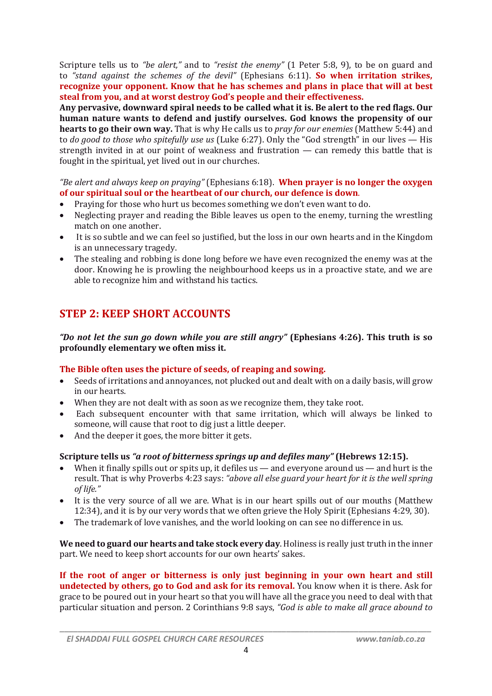Scripture tells us to *"be alert,"* and to *"resist the enemy"* (1 Peter 5:8, 9), to be on guard and to *"stand against the schemes of the devil"* (Ephesians 6:11). **So when irritation strikes, recognize your opponent. Know that he has schemes and plans in place that will at best steal from you, and at worst destroy God's people and their effectiveness.**

**Any pervasive, downward spiral needs to be called what it is. Be alert to the red flags. Our human nature wants to defend and justify ourselves. God knows the propensity of our hearts to go their own way.** That is why He calls us to *pray for our enemies* (Matthew 5:44) and to *do good to those who spitefully use us* (Luke 6:27). Only the "God strength" in our lives — His strength invited in at our point of weakness and frustration — can remedy this battle that is fought in the spiritual, yet lived out in our churches.

*"Be alert and always keep on praying"* (Ephesians 6:18). **When prayer is no longer the oxygen of our spiritual soul or the heartbeat of our church, our defence is down**.

- Praying for those who hurt us becomes something we don't even want to do.
- Neglecting prayer and reading the Bible leaves us open to the enemy, turning the wrestling match on one another.
- It is so subtle and we can feel so justified, but the loss in our own hearts and in the Kingdom is an unnecessary tragedy.
- The stealing and robbing is done long before we have even recognized the enemy was at the door. Knowing he is prowling the neighbourhood keeps us in a proactive state, and we are able to recognize him and withstand his tactics.

### **STEP 2: KEEP SHORT ACCOUNTS**

*"Do not let the sun go down while you are still angry"* **(Ephesians 4:26). This truth is so profoundly elementary we often miss it.**

#### **The Bible often uses the picture of seeds, of reaping and sowing.**

- Seeds of irritations and annoyances, not plucked out and dealt with on a daily basis, will grow in our hearts.
- When they are not dealt with as soon as we recognize them, they take root.
- Each subsequent encounter with that same irritation, which will always be linked to someone, will cause that root to dig just a little deeper.
- And the deeper it goes, the more bitter it gets.

#### **Scripture tells us** *"a root of bitterness springs up and defiles many"* **(Hebrews 12:15).**

- When it finally spills out or spits up, it defiles us and everyone around us and hurt is the result. That is why Proverbs 4:23 says: *"above all else guard your heart for it is the well spring of life."*
- It is the very source of all we are. What is in our heart spills out of our mouths (Matthew 12:34), and it is by our very words that we often grieve the Holy Spirit (Ephesians 4:29, 30).
- The trademark of love vanishes, and the world looking on can see no difference in us.

**We need to guard our hearts and take stock every day**. Holiness is really just truth in the inner part. We need to keep short accounts for our own hearts' sakes.

**If the root of anger or bitterness is only just beginning in your own heart and still undetected by others, go to God and ask for its removal.** You know when it is there. Ask for grace to be poured out in your heart so that you will have all the grace you need to deal with that particular situation and person. 2 Corinthians 9:8 says, *"God is able to make all grace abound to*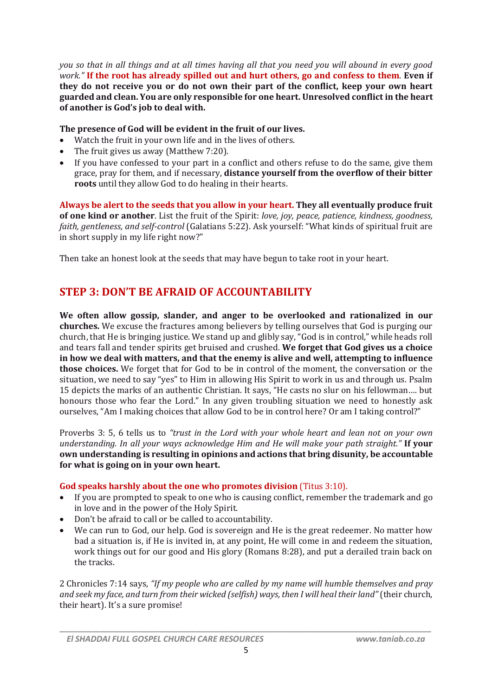*you so that in all things and at all times having all that you need you will abound in every good work."* **If the root has already spilled out and hurt others, go and confess to them**. **Even if they do not receive you or do not own their part of the conflict, keep your own heart guarded and clean. You are only responsible for one heart. Unresolved conflict in the heart of another is God's job to deal with.**

#### **The presence of God will be evident in the fruit of our lives.**

- Watch the fruit in your own life and in the lives of others.
- The fruit gives us away (Matthew 7:20).
- If you have confessed to your part in a conflict and others refuse to do the same, give them grace, pray for them, and if necessary, **distance yourself from the overflow of their bitter roots** until they allow God to do healing in their hearts.

**Always be alert to the seeds that you allow in your heart. They all eventually produce fruit of one kind or another**. List the fruit of the Spirit: *love, joy, peace, patience, kindness, goodness, faith, gentleness, and self-control* (Galatians 5:22). Ask yourself: "What kinds of spiritual fruit are in short supply in my life right now?"

Then take an honest look at the seeds that may have begun to take root in your heart.

### **STEP 3: DON'T BE AFRAID OF ACCOUNTABILITY**

**We often allow gossip, slander, and anger to be overlooked and rationalized in our churches.** We excuse the fractures among believers by telling ourselves that God is purging our church, that He is bringing justice. We stand up and glibly say, "God is in control," while heads roll and tears fall and tender spirits get bruised and crushed. **We forget that God gives us a choice in how we deal with matters, and that the enemy is alive and well, attempting to influence those choices.** We forget that for God to be in control of the moment, the conversation or the situation, we need to say "yes" to Him in allowing His Spirit to work in us and through us. Psalm 15 depicts the marks of an authentic Christian. It says, "He casts no slur on his fellowman…. but honours those who fear the Lord." In any given troubling situation we need to honestly ask ourselves, "Am I making choices that allow God to be in control here? Or am I taking control?"

Proverbs 3: 5, 6 tells us to *"trust in the Lord with your whole heart and lean not on your own understanding. In all your ways acknowledge Him and He will make your path straight."* **If your own understanding is resulting in opinions and actions that bring disunity, be accountable for what is going on in your own heart.**

#### **God speaks harshly about the one who promotes division** (Titus 3:10).

- If you are prompted to speak to one who is causing conflict, remember the trademark and go in love and in the power of the Holy Spirit.
- Don't be afraid to call or be called to accountability.
- We can run to God, our help. God is sovereign and He is the great redeemer. No matter how bad a situation is, if He is invited in, at any point, He will come in and redeem the situation, work things out for our good and His glory (Romans 8:28), and put a derailed train back on the tracks.

2 Chronicles 7:14 says, *"If my people who are called by my name will humble themselves and pray and seek my face, and turn from their wicked (selfish) ways, then I will heal their land"*(their church, their heart). It's a sure promise!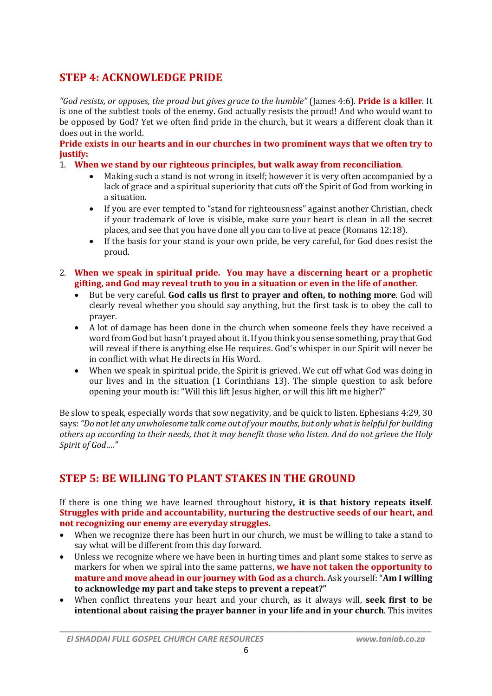### **STEP 4: ACKNOWLEDGE PRIDE**

*"God resists, or opposes, the proud but gives grace to the humble"* (James 4:6). **Pride is a killer**. It is one of the subtlest tools of the enemy. God actually resists the proud! And who would want to be opposed by God? Yet we often find pride in the church, but it wears a different cloak than it does out in the world.

#### **Pride exists in our hearts and in our churches in two prominent ways that we often try to justify:**

- 1. **When we stand by our righteous principles, but walk away from reconciliation**.
	- Making such a stand is not wrong in itself; however it is very often accompanied by a lack of grace and a spiritual superiority that cuts off the Spirit of God from working in a situation.
	- If you are ever tempted to "stand for righteousness" against another Christian, check if your trademark of love is visible, make sure your heart is clean in all the secret places, and see that you have done all you can to live at peace (Romans 12:18).
	- If the basis for your stand is your own pride, be very careful, for God does resist the proud.
- 2. **When we speak in spiritual pride. You may have a discerning heart or a prophetic gifting, and God may reveal truth to you in a situation or even in the life of another**.
	- But be very careful. **God calls us first to prayer and often, to nothing more**. God will clearly reveal whether you should say anything, but the first task is to obey the call to prayer.
	- A lot of damage has been done in the church when someone feels they have received a word from God but hasn't prayed about it. If you think you sense something, pray that God will reveal if there is anything else He requires. God's whisper in our Spirit will never be in conflict with what He directs in His Word.
	- When we speak in spiritual pride, the Spirit is grieved. We cut off what God was doing in our lives and in the situation (1 Corinthians 13). The simple question to ask before opening your mouth is: "Will this lift Jesus higher, or will this lift me higher?"

Be slow to speak, especially words that sow negativity, and be quick to listen. Ephesians 4:29, 30 says:*"Do not let any unwholesome talk come out of your mouths, but only what is helpful for building others up according to their needs, that it may benefit those who listen. And do not grieve the Holy Spirit of God…."*

### **STEP 5: BE WILLING TO PLANT STAKES IN THE GROUND**

If there is one thing we have learned throughout history**, it is that history repeats itself**. **Struggles with pride and accountability, nurturing the destructive seeds of our heart, and not recognizing our enemy are everyday struggles.**

- When we recognize there has been hurt in our church, we must be willing to take a stand to say what will be different from this day forward.
- Unless we recognize where we have been in hurting times and plant some stakes to serve as markers for when we spiral into the same patterns, **we have not taken the opportunity to mature and move ahead in our journey with God as a church.** Ask yourself: "**Am I willing to acknowledge my part and take steps to prevent a repeat?"**
- When conflict threatens your heart and your church, as it always will, **seek first to be intentional about raising the prayer banner in your life and in your church**. This invites